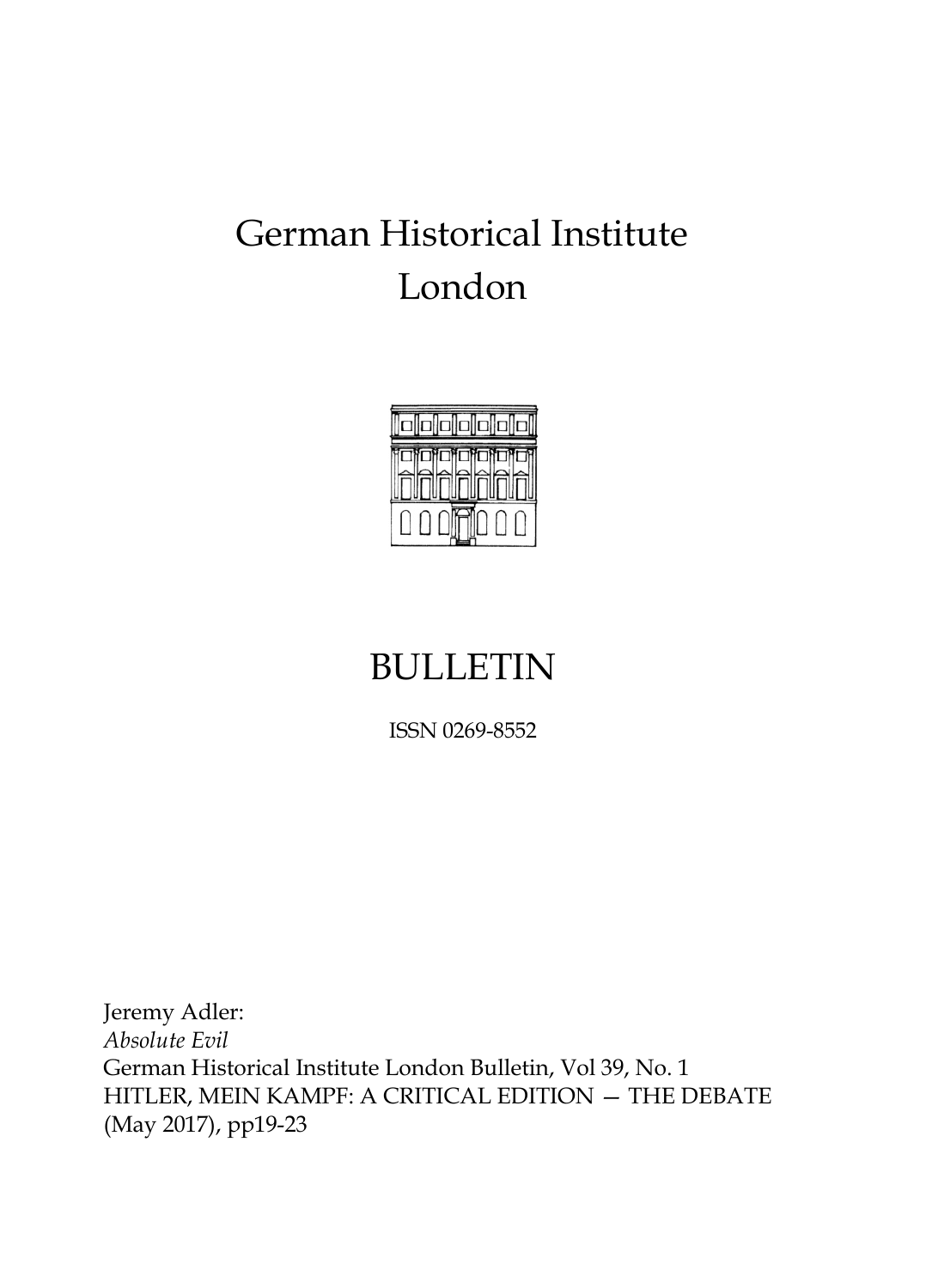# German Historical Institute London



## BULLETIN

ISSN 0269-8552

Jeremy Adler: *Absolute Evil* German Historical Institute London Bulletin, Vol 39, No. 1 HITLER, MEIN KAMPF: A CRITICAL EDITION — THE DEBATE (May 2017), pp19-23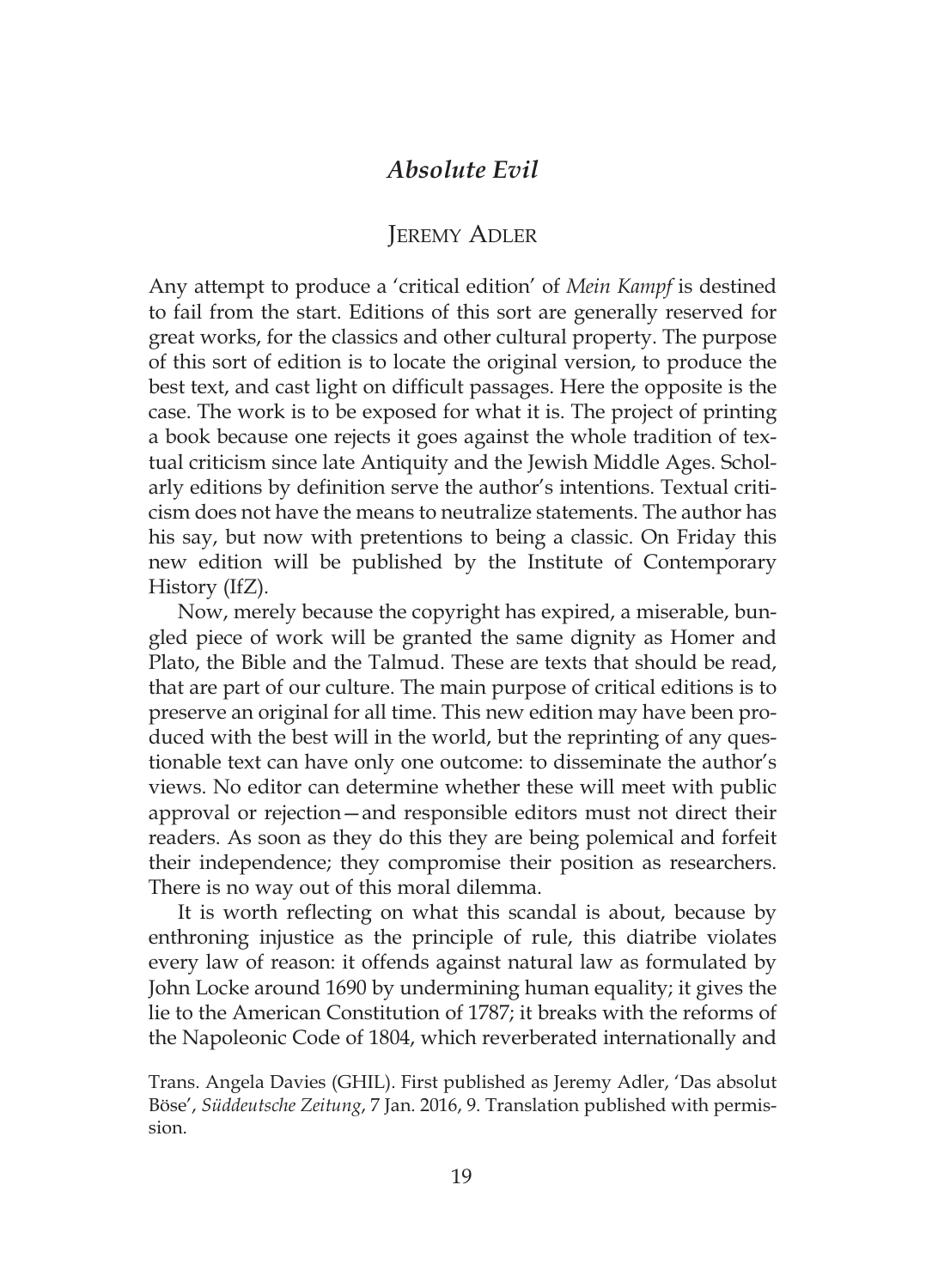## *Absolute Evil*

## JEREMY ADLER

Any attempt to produce a 'critical edition' of *Mein Kampf* is destined to fail from the start. Editions of this sort are generally reserved for great works, for the classics and other cultural property. The purpose of this sort of edition is to locate the original version, to produce the best text, and cast light on difficult passages. Here the opposite is the case. The work is to be exposed for what it is. The project of printing a book because one rejects it goes against the whole tradition of textual criticism since late Antiquity and the Jewish Middle Ages. Scholarly editions by definition serve the author's intentions. Textual criticism does not have the means to neutralize statements. The author has his say, but now with pretentions to being a classic. On Friday this new edition will be published by the Institute of Contemporary History (IfZ).

Now, merely because the copyright has expired, a miserable, bungled piece of work will be granted the same dignity as Homer and Plato, the Bible and the Talmud. These are texts that should be read, that are part of our culture. The main purpose of critical editions is to preserve an original for all time. This new edition may have been produced with the best will in the world, but the reprinting of any questionable text can have only one outcome: to disseminate the author's views. No editor can determine whether these will meet with public approval or rejection—and responsible editors must not direct their readers. As soon as they do this they are being polemical and forfeit their independence; they compromise their position as researchers. There is no way out of this moral dilemma.

It is worth reflecting on what this scandal is about, because by enthroning injustice as the principle of rule, this diatribe violates every law of reason: it offends against natural law as formulated by John Locke around 1690 by undermining human equality; it gives the lie to the American Constitution of 1787; it breaks with the reforms of the Napoleonic Code of 1804, which reverberated internationally and

Trans. Angela Davies (GHIL). First published as Jeremy Adler, 'Das absolut Böse', *Süddeutsche Zeitung*, 7 Jan. 2016, 9. Translation published with permission.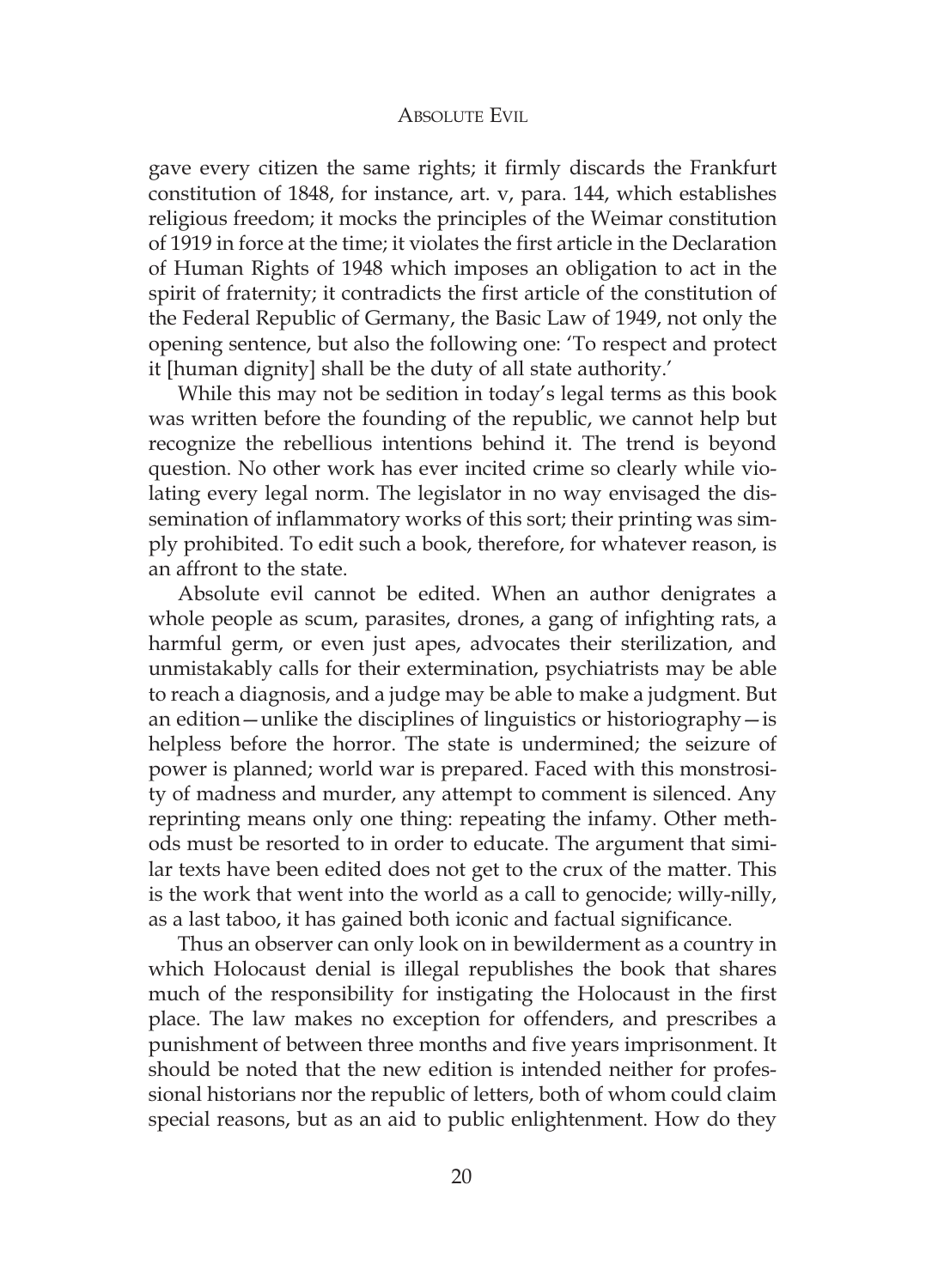#### ABSOLUTE EVIL

gave every citizen the same rights; it firmly discards the Frankfurt constitution of 1848, for instance, art. v, para. 144, which establishes religious freedom; it mocks the principles of the Weimar constitution of 1919 in force at the time; it violates the first article in the Declaration of Human Rights of 1948 which imposes an obligation to act in the spirit of fraternity; it contradicts the first article of the constitution of the Federal Republic of Germany, the Basic Law of 1949, not only the opening sentence, but also the following one: 'To respect and protect it [human dignity] shall be the duty of all state authority.'

While this may not be sedition in today's legal terms as this book was written before the founding of the republic, we cannot help but recognize the rebellious intentions behind it. The trend is beyond question. No other work has ever incited crime so clearly while violating every legal norm. The legislator in no way envisaged the dissemination of inflammatory works of this sort; their printing was simply prohibited. To edit such a book, therefore, for whatever reason, is an affront to the state.

Absolute evil cannot be edited. When an author denigrates a whole people as scum, parasites, drones, a gang of infighting rats, a harmful germ, or even just apes, advocates their sterilization, and unmistakably calls for their extermination, psychiatrists may be able to reach a diagnosis, and a judge may be able to make a judgment. But an edition—unlike the disciplines of linguistics or historiography—is helpless before the horror. The state is undermined; the seizure of power is planned; world war is prepared. Faced with this monstrosity of madness and murder, any attempt to comment is silenced. Any reprinting means only one thing: repeating the infamy. Other methods must be resorted to in order to educate. The argument that similar texts have been edited does not get to the crux of the matter. This is the work that went into the world as a call to genocide; willy-nilly, as a last taboo, it has gained both iconic and factual significance.

Thus an observer can only look on in bewilderment as a country in which Holocaust denial is illegal republishes the book that shares much of the responsibility for instigating the Holocaust in the first place. The law makes no exception for offenders, and prescribes a punishment of between three months and five years imprisonment. It should be noted that the new edition is intended neither for professional historians nor the republic of letters, both of whom could claim special reasons, but as an aid to public enlightenment. How do they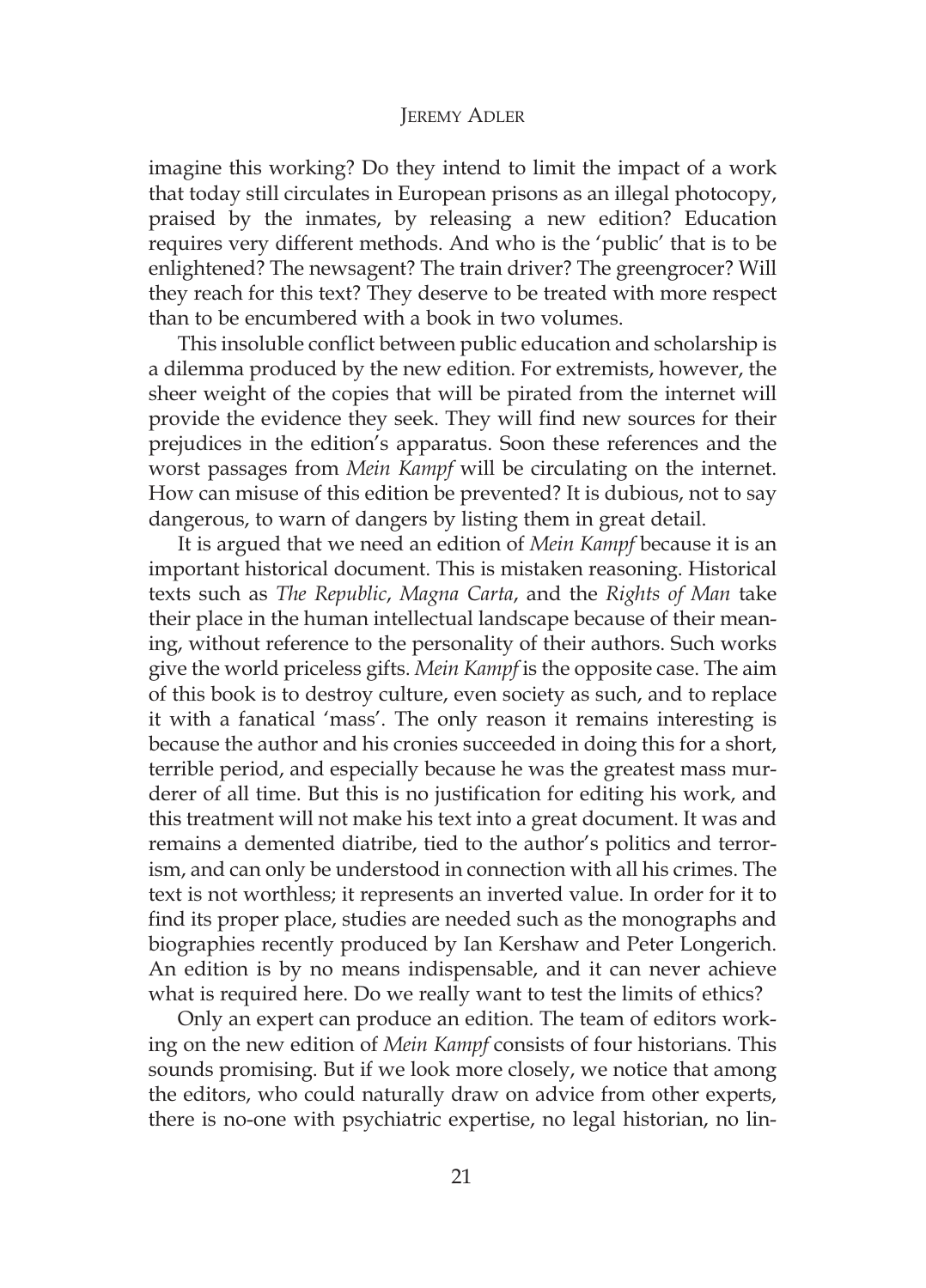#### JEREMY ADLER

imagine this working? Do they intend to limit the impact of a work that today still circulates in European prisons as an illegal photocopy, praised by the inmates, by releasing a new edition? Education requires very different methods. And who is the 'public' that is to be enlightened? The newsagent? The train driver? The greengrocer? Will they reach for this text? They deserve to be treated with more respect than to be encumbered with a book in two volumes.

This insoluble conflict between public education and scholarship is a dilemma produced by the new edition. For extremists, however, the sheer weight of the copies that will be pirated from the internet will provide the evidence they seek. They will find new sources for their prejudices in the edition's apparatus. Soon these references and the worst passages from *Mein Kampf* will be circulating on the internet. How can misuse of this edition be prevented? It is dubious, not to say dangerous, to warn of dangers by listing them in great detail.

It is argued that we need an edition of *Mein Kampf* because it is an important historical document. This is mistaken reasoning. Historical texts such as *The Republic*, *Magna Carta*, and the *Rights of Man* take their place in the human intellectual landscape because of their meaning, without reference to the personality of their authors. Such works give the world priceless gifts. *Mein Kampf* is the opposite case. The aim of this book is to destroy culture, even society as such, and to replace it with a fanatical 'mass'. The only reason it remains interesting is because the author and his cronies succeeded in doing this for a short, terrible period, and especially because he was the greatest mass murderer of all time. But this is no justification for editing his work, and this treatment will not make his text into a great document. It was and remains a demented diatribe, tied to the author's politics and terrorism, and can only be understood in connection with all his crimes. The text is not worthless; it represents an inverted value. In order for it to find its proper place, studies are needed such as the monographs and biographies recently produced by Ian Kershaw and Peter Longerich. An edition is by no means indispensable, and it can never achieve what is required here. Do we really want to test the limits of ethics?

Only an expert can produce an edition. The team of editors working on the new edition of *Mein Kampf* consists of four historians. This sounds promising. But if we look more closely, we notice that among the editors, who could naturally draw on advice from other experts, there is no-one with psychiatric expertise, no legal historian, no lin-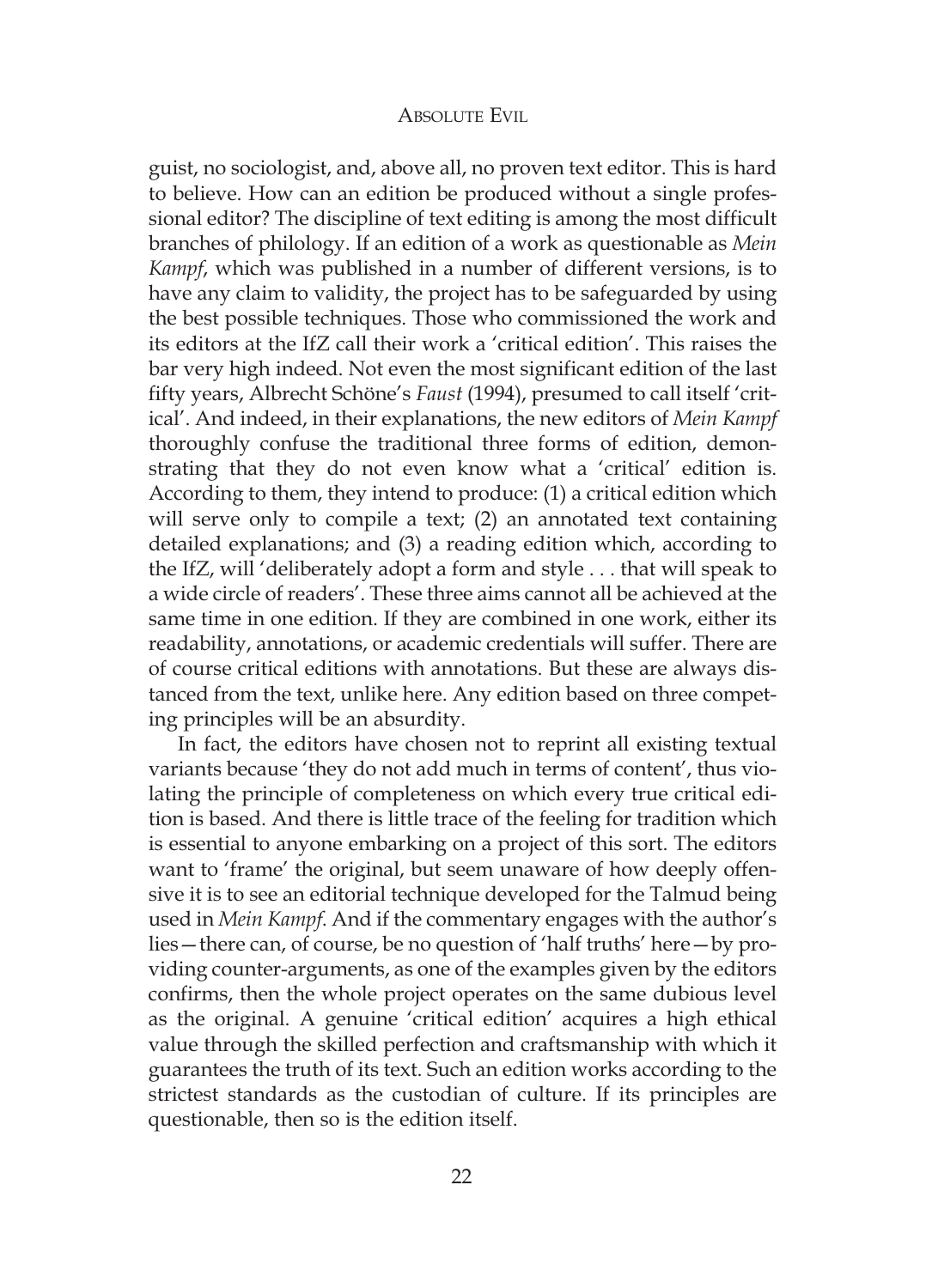#### ABSOLUTE EVIL

guist, no sociologist, and, above all, no proven text editor. This is hard to believe. How can an edition be produced without a single professional editor? The discipline of text editing is among the most difficult branches of philology. If an edition of a work as questionable as *Mein Kampf*, which was published in a number of different versions, is to have any claim to validity, the project has to be safeguarded by using the best possible techniques. Those who commissioned the work and its editors at the IfZ call their work a 'critical edition'. This raises the bar very high indeed. Not even the most significant edition of the last fifty years, Albrecht Schöne's *Faust* (1994), presumed to call itself 'critical'. And indeed, in their explanations, the new editors of *Mein Kampf* thoroughly confuse the traditional three forms of edition, demonstrating that they do not even know what a 'critical' edition is. According to them, they intend to produce: (1) a critical edition which will serve only to compile a text; (2) an annotated text containing detailed explanations; and (3) a reading edition which, according to the IfZ, will 'deliberately adopt a form and style . . . that will speak to a wide circle of readers'. These three aims cannot all be achieved at the same time in one edition. If they are combined in one work, either its readability, annotations, or academic credentials will suffer. There are of course critical editions with annotations. But these are always distanced from the text, unlike here. Any edition based on three competing principles will be an absurdity.

In fact, the editors have chosen not to reprint all existing textual variants because 'they do not add much in terms of content', thus violating the principle of completeness on which every true critical edition is based. And there is little trace of the feeling for tradition which is essential to anyone embarking on a project of this sort. The editors want to 'frame' the original, but seem unaware of how deeply offensive it is to see an editorial technique developed for the Talmud being used in *Mein Kampf*. And if the commentary engages with the author's lies—there can, of course, be no question of 'half truths' here—by providing counter-arguments, as one of the examples given by the editors confirms, then the whole project operates on the same dubious level as the original. A genuine 'critical edition' acquires a high ethical value through the skilled perfection and craftsmanship with which it guarantees the truth of its text. Such an edition works according to the strictest standards as the custodian of culture. If its principles are questionable, then so is the edition itself.